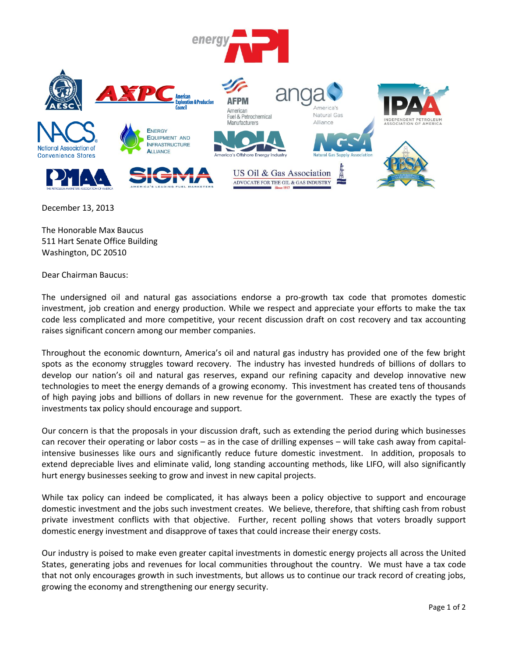

December 13, 2013

The Honorable Max Baucus 511 Hart Senate Office Building Washington, DC 20510

Dear Chairman Baucus:

The undersigned oil and natural gas associations endorse a pro-growth tax code that promotes domestic investment, job creation and energy production. While we respect and appreciate your efforts to make the tax code less complicated and more competitive, your recent discussion draft on cost recovery and tax accounting raises significant concern among our member companies.

Throughout the economic downturn, America's oil and natural gas industry has provided one of the few bright spots as the economy struggles toward recovery. The industry has invested hundreds of billions of dollars to develop our nation's oil and natural gas reserves, expand our refining capacity and develop innovative new technologies to meet the energy demands of a growing economy. This investment has created tens of thousands of high paying jobs and billions of dollars in new revenue for the government. These are exactly the types of investments tax policy should encourage and support.

Our concern is that the proposals in your discussion draft, such as extending the period during which businesses can recover their operating or labor costs – as in the case of drilling expenses – will take cash away from capitalintensive businesses like ours and significantly reduce future domestic investment. In addition, proposals to extend depreciable lives and eliminate valid, long standing accounting methods, like LIFO, will also significantly hurt energy businesses seeking to grow and invest in new capital projects.

While tax policy can indeed be complicated, it has always been a policy objective to support and encourage domestic investment and the jobs such investment creates. We believe, therefore, that shifting cash from robust private investment conflicts with that objective. Further, recent polling shows that voters broadly support domestic energy investment and disapprove of taxes that could increase their energy costs.

Our industry is poised to make even greater capital investments in domestic energy projects all across the United States, generating jobs and revenues for local communities throughout the country. We must have a tax code that not only encourages growth in such investments, but allows us to continue our track record of creating jobs, growing the economy and strengthening our energy security.